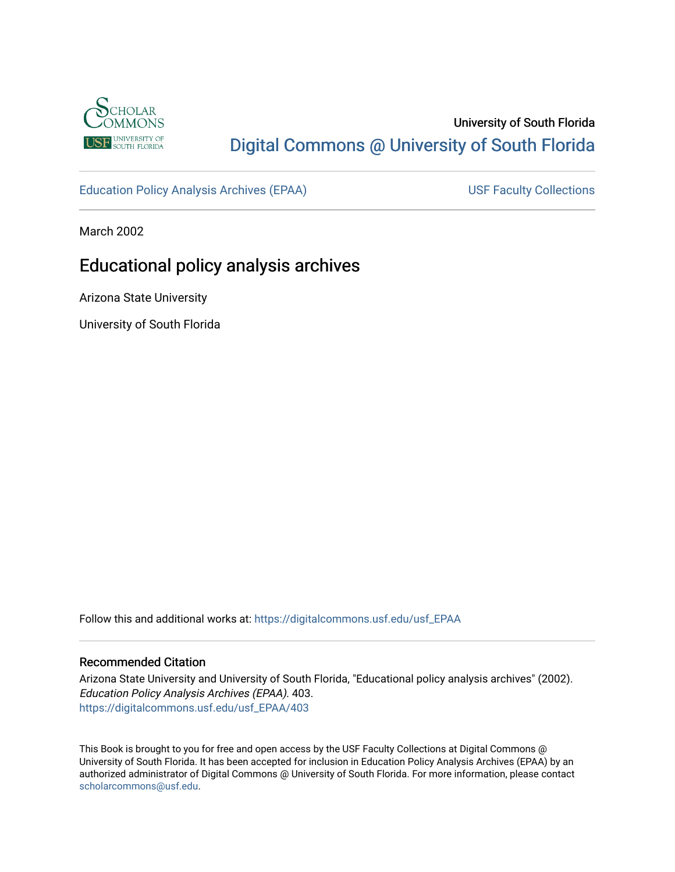

# University of South Florida [Digital Commons @ University of South Florida](https://digitalcommons.usf.edu/)

[Education Policy Analysis Archives \(EPAA\)](https://digitalcommons.usf.edu/usf_EPAA) USF Faculty Collections

March 2002

# Educational policy analysis archives

Arizona State University

University of South Florida

Follow this and additional works at: [https://digitalcommons.usf.edu/usf\\_EPAA](https://digitalcommons.usf.edu/usf_EPAA?utm_source=digitalcommons.usf.edu%2Fusf_EPAA%2F403&utm_medium=PDF&utm_campaign=PDFCoverPages)

## Recommended Citation

Arizona State University and University of South Florida, "Educational policy analysis archives" (2002). Education Policy Analysis Archives (EPAA). 403. [https://digitalcommons.usf.edu/usf\\_EPAA/403](https://digitalcommons.usf.edu/usf_EPAA/403?utm_source=digitalcommons.usf.edu%2Fusf_EPAA%2F403&utm_medium=PDF&utm_campaign=PDFCoverPages)

This Book is brought to you for free and open access by the USF Faculty Collections at Digital Commons @ University of South Florida. It has been accepted for inclusion in Education Policy Analysis Archives (EPAA) by an authorized administrator of Digital Commons @ University of South Florida. For more information, please contact [scholarcommons@usf.edu.](mailto:scholarcommons@usf.edu)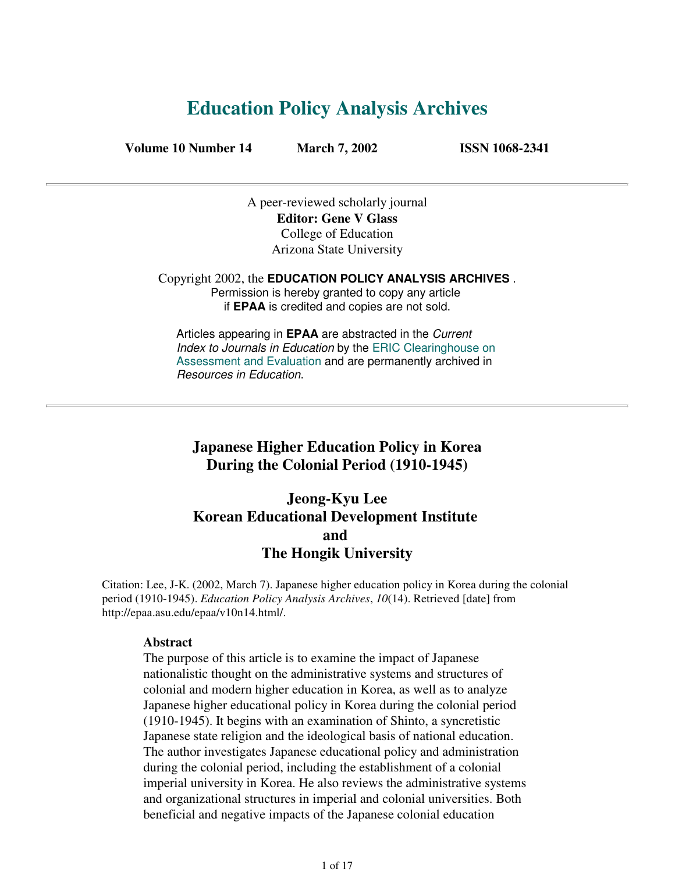# **Education Policy Analysis Archives**

**Volume 10 Number 14 March 7, 2002 ISSN 1068-2341**

A peer-reviewed scholarly journal **Editor: Gene V Glass** College of Education Arizona State University

Copyright 2002, the **EDUCATION POLICY ANALYSIS ARCHIVES** . Permission is hereby granted to copy any article if **EPAA** is credited and copies are not sold.

Articles appearing in **EPAA** are abstracted in the Current Index to Journals in Education by the ERIC Clearinghouse on Assessment and Evaluation and are permanently archived in Resources in Education.

## **Japanese Higher Education Policy in Korea During the Colonial Period (1910-1945)**

# **Jeong-Kyu Lee Korean Educational Development Institute and The Hongik University**

Citation: Lee, J-K. (2002, March 7). Japanese higher education policy in Korea during the colonial period (1910-1945). *Education Policy Analysis Archives*, *10*(14). Retrieved [date] from http://epaa.asu.edu/epaa/v10n14.html/.

## **Abstract**

The purpose of this article is to examine the impact of Japanese nationalistic thought on the administrative systems and structures of colonial and modern higher education in Korea, as well as to analyze Japanese higher educational policy in Korea during the colonial period (1910-1945). It begins with an examination of Shinto, a syncretistic Japanese state religion and the ideological basis of national education. The author investigates Japanese educational policy and administration during the colonial period, including the establishment of a colonial imperial university in Korea. He also reviews the administrative systems and organizational structures in imperial and colonial universities. Both beneficial and negative impacts of the Japanese colonial education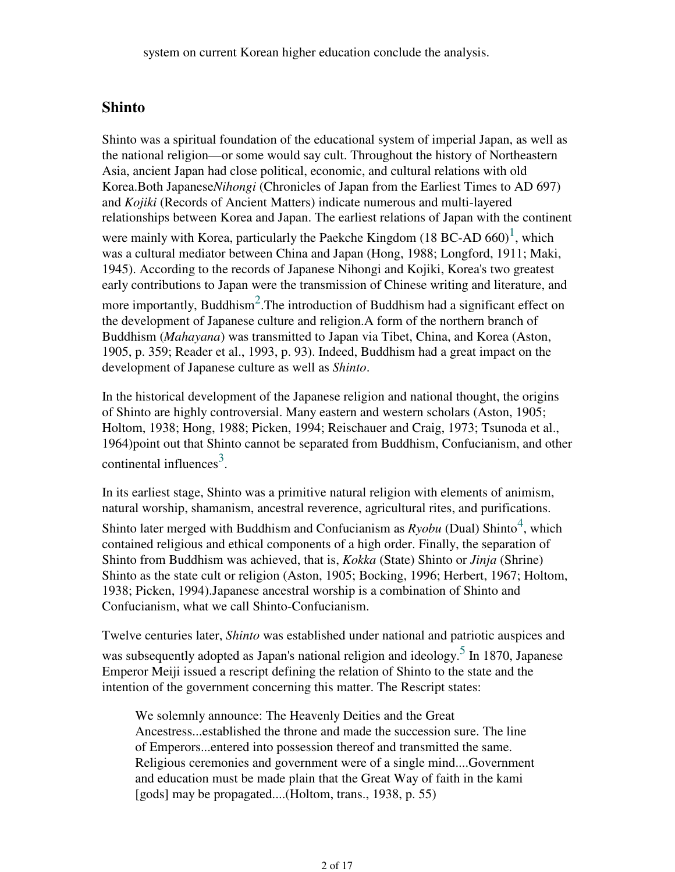## **Shinto**

Shinto was a spiritual foundation of the educational system of imperial Japan, as well as the national religion—or some would say cult. Throughout the history of Northeastern Asia, ancient Japan had close political, economic, and cultural relations with old Korea.Both Japanese*Nihongi* (Chronicles of Japan from the Earliest Times to AD 697) and *Kojiki* (Records of Ancient Matters) indicate numerous and multi-layered relationships between Korea and Japan. The earliest relations of Japan with the continent were mainly with Korea, particularly the Paekche Kingdom (18 BC-AD 660)<sup>1</sup>, which was a cultural mediator between China and Japan (Hong, 1988; Longford, 1911; Maki, 1945). According to the records of Japanese Nihongi and Kojiki, Korea's two greatest early contributions to Japan were the transmission of Chinese writing and literature, and more importantly, Buddhism<sup>2</sup>. The introduction of Buddhism had a significant effect on the development of Japanese culture and religion.A form of the northern branch of Buddhism (*Mahayana*) was transmitted to Japan via Tibet, China, and Korea (Aston, 1905, p. 359; Reader et al., 1993, p. 93). Indeed, Buddhism had a great impact on the development of Japanese culture as well as *Shinto*.

In the historical development of the Japanese religion and national thought, the origins of Shinto are highly controversial. Many eastern and western scholars (Aston, 1905; Holtom, 1938; Hong, 1988; Picken, 1994; Reischauer and Craig, 1973; Tsunoda et al., 1964)point out that Shinto cannot be separated from Buddhism, Confucianism, and other continental influences<sup>3</sup>.

In its earliest stage, Shinto was a primitive natural religion with elements of animism, natural worship, shamanism, ancestral reverence, agricultural rites, and purifications.

Shinto later merged with Buddhism and Confucianism as  $Ryobu$  (Dual) Shinto<sup>4</sup>, which contained religious and ethical components of a high order. Finally, the separation of Shinto from Buddhism was achieved, that is, *Kokka* (State) Shinto or *Jinja* (Shrine) Shinto as the state cult or religion (Aston, 1905; Bocking, 1996; Herbert, 1967; Holtom, 1938; Picken, 1994).Japanese ancestral worship is a combination of Shinto and Confucianism, what we call Shinto-Confucianism.

Twelve centuries later, *Shinto* was established under national and patriotic auspices and was subsequently adopted as Japan's national religion and ideology.<sup>5</sup> In 1870, Japanese Emperor Meiji issued a rescript defining the relation of Shinto to the state and the intention of the government concerning this matter. The Rescript states:

We solemnly announce: The Heavenly Deities and the Great Ancestress...established the throne and made the succession sure. The line of Emperors...entered into possession thereof and transmitted the same. Religious ceremonies and government were of a single mind....Government and education must be made plain that the Great Way of faith in the kami [gods] may be propagated....(Holtom, trans., 1938, p. 55)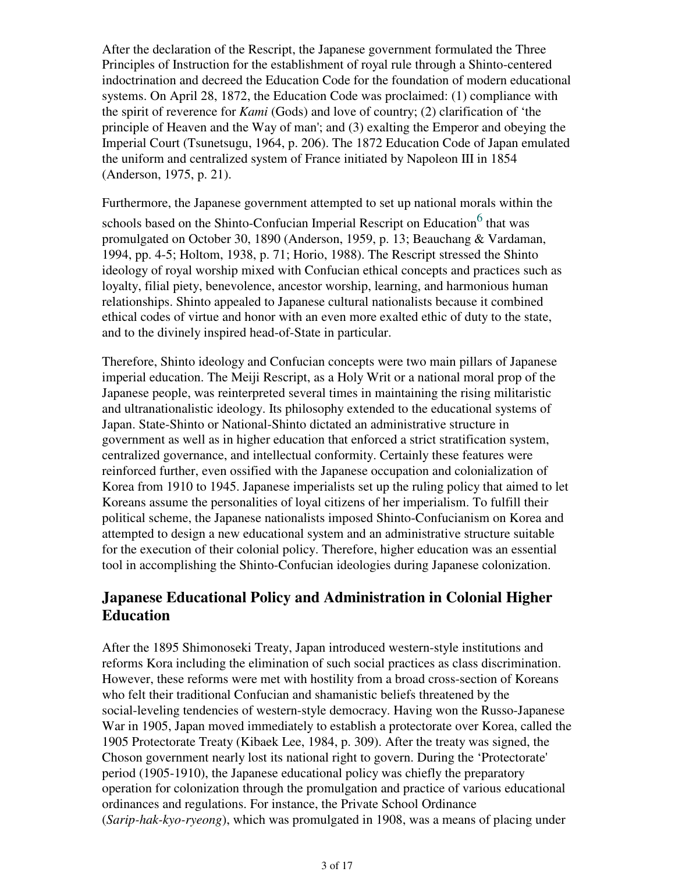After the declaration of the Rescript, the Japanese government formulated the Three Principles of Instruction for the establishment of royal rule through a Shinto-centered indoctrination and decreed the Education Code for the foundation of modern educational systems. On April 28, 1872, the Education Code was proclaimed: (1) compliance with the spirit of reverence for *Kami* (Gods) and love of country; (2) clarification of 'the principle of Heaven and the Way of man'; and (3) exalting the Emperor and obeying the Imperial Court (Tsunetsugu, 1964, p. 206). The 1872 Education Code of Japan emulated the uniform and centralized system of France initiated by Napoleon III in 1854 (Anderson, 1975, p. 21).

Furthermore, the Japanese government attempted to set up national morals within the

schools based on the Shinto-Confucian Imperial Rescript on Education<sup>6</sup> that was promulgated on October 30, 1890 (Anderson, 1959, p. 13; Beauchang & Vardaman, 1994, pp. 4-5; Holtom, 1938, p. 71; Horio, 1988). The Rescript stressed the Shinto ideology of royal worship mixed with Confucian ethical concepts and practices such as loyalty, filial piety, benevolence, ancestor worship, learning, and harmonious human relationships. Shinto appealed to Japanese cultural nationalists because it combined ethical codes of virtue and honor with an even more exalted ethic of duty to the state, and to the divinely inspired head-of-State in particular.

Therefore, Shinto ideology and Confucian concepts were two main pillars of Japanese imperial education. The Meiji Rescript, as a Holy Writ or a national moral prop of the Japanese people, was reinterpreted several times in maintaining the rising militaristic and ultranationalistic ideology. Its philosophy extended to the educational systems of Japan. State-Shinto or National-Shinto dictated an administrative structure in government as well as in higher education that enforced a strict stratification system, centralized governance, and intellectual conformity. Certainly these features were reinforced further, even ossified with the Japanese occupation and colonialization of Korea from 1910 to 1945. Japanese imperialists set up the ruling policy that aimed to let Koreans assume the personalities of loyal citizens of her imperialism. To fulfill their political scheme, the Japanese nationalists imposed Shinto-Confucianism on Korea and attempted to design a new educational system and an administrative structure suitable for the execution of their colonial policy. Therefore, higher education was an essential tool in accomplishing the Shinto-Confucian ideologies during Japanese colonization.

# **Japanese Educational Policy and Administration in Colonial Higher Education**

After the 1895 Shimonoseki Treaty, Japan introduced western-style institutions and reforms Kora including the elimination of such social practices as class discrimination. However, these reforms were met with hostility from a broad cross-section of Koreans who felt their traditional Confucian and shamanistic beliefs threatened by the social-leveling tendencies of western-style democracy. Having won the Russo-Japanese War in 1905, Japan moved immediately to establish a protectorate over Korea, called the 1905 Protectorate Treaty (Kibaek Lee, 1984, p. 309). After the treaty was signed, the Choson government nearly lost its national right to govern. During the 'Protectorate' period (1905-1910), the Japanese educational policy was chiefly the preparatory operation for colonization through the promulgation and practice of various educational ordinances and regulations. For instance, the Private School Ordinance (*Sarip-hak-kyo-ryeong*), which was promulgated in 1908, was a means of placing under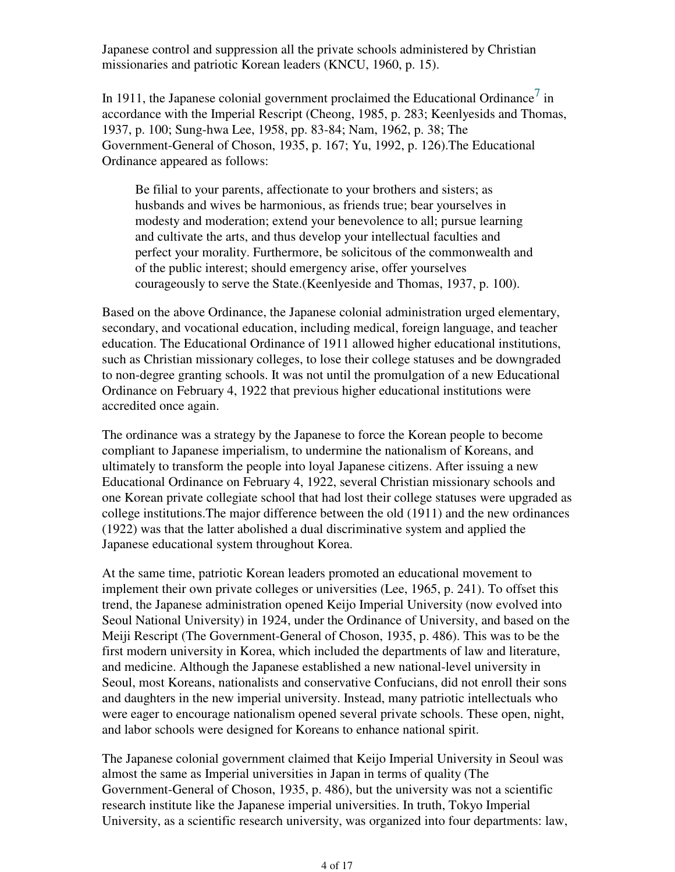Japanese control and suppression all the private schools administered by Christian missionaries and patriotic Korean leaders (KNCU, 1960, p. 15).

In 1911, the Japanese colonial government proclaimed the Educational Ordinance<sup>7</sup> in accordance with the Imperial Rescript (Cheong, 1985, p. 283; Keenlyesids and Thomas, 1937, p. 100; Sung-hwa Lee, 1958, pp. 83-84; Nam, 1962, p. 38; The Government-General of Choson, 1935, p. 167; Yu, 1992, p. 126).The Educational Ordinance appeared as follows:

Be filial to your parents, affectionate to your brothers and sisters; as husbands and wives be harmonious, as friends true; bear yourselves in modesty and moderation; extend your benevolence to all; pursue learning and cultivate the arts, and thus develop your intellectual faculties and perfect your morality. Furthermore, be solicitous of the commonwealth and of the public interest; should emergency arise, offer yourselves courageously to serve the State.(Keenlyeside and Thomas, 1937, p. 100).

Based on the above Ordinance, the Japanese colonial administration urged elementary, secondary, and vocational education, including medical, foreign language, and teacher education. The Educational Ordinance of 1911 allowed higher educational institutions, such as Christian missionary colleges, to lose their college statuses and be downgraded to non-degree granting schools. It was not until the promulgation of a new Educational Ordinance on February 4, 1922 that previous higher educational institutions were accredited once again.

The ordinance was a strategy by the Japanese to force the Korean people to become compliant to Japanese imperialism, to undermine the nationalism of Koreans, and ultimately to transform the people into loyal Japanese citizens. After issuing a new Educational Ordinance on February 4, 1922, several Christian missionary schools and one Korean private collegiate school that had lost their college statuses were upgraded as college institutions.The major difference between the old (1911) and the new ordinances (1922) was that the latter abolished a dual discriminative system and applied the Japanese educational system throughout Korea.

At the same time, patriotic Korean leaders promoted an educational movement to implement their own private colleges or universities (Lee, 1965, p. 241). To offset this trend, the Japanese administration opened Keijo Imperial University (now evolved into Seoul National University) in 1924, under the Ordinance of University, and based on the Meiji Rescript (The Government-General of Choson, 1935, p. 486). This was to be the first modern university in Korea, which included the departments of law and literature, and medicine. Although the Japanese established a new national-level university in Seoul, most Koreans, nationalists and conservative Confucians, did not enroll their sons and daughters in the new imperial university. Instead, many patriotic intellectuals who were eager to encourage nationalism opened several private schools. These open, night, and labor schools were designed for Koreans to enhance national spirit.

The Japanese colonial government claimed that Keijo Imperial University in Seoul was almost the same as Imperial universities in Japan in terms of quality (The Government-General of Choson, 1935, p. 486), but the university was not a scientific research institute like the Japanese imperial universities. In truth, Tokyo Imperial University, as a scientific research university, was organized into four departments: law,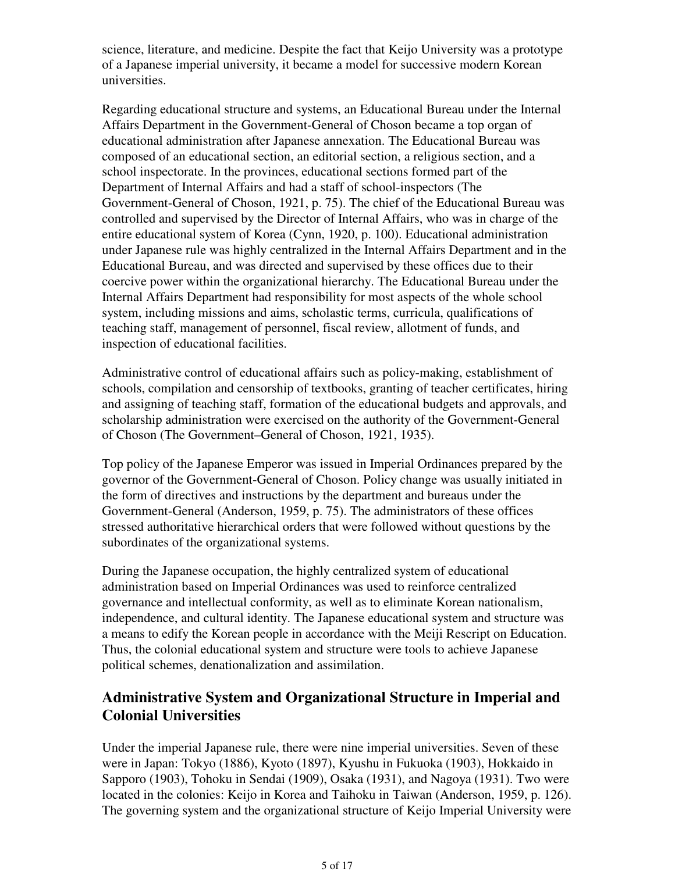science, literature, and medicine. Despite the fact that Keijo University was a prototype of a Japanese imperial university, it became a model for successive modern Korean universities.

Regarding educational structure and systems, an Educational Bureau under the Internal Affairs Department in the Government-General of Choson became a top organ of educational administration after Japanese annexation. The Educational Bureau was composed of an educational section, an editorial section, a religious section, and a school inspectorate. In the provinces, educational sections formed part of the Department of Internal Affairs and had a staff of school-inspectors (The Government-General of Choson, 1921, p. 75). The chief of the Educational Bureau was controlled and supervised by the Director of Internal Affairs, who was in charge of the entire educational system of Korea (Cynn, 1920, p. 100). Educational administration under Japanese rule was highly centralized in the Internal Affairs Department and in the Educational Bureau, and was directed and supervised by these offices due to their coercive power within the organizational hierarchy. The Educational Bureau under the Internal Affairs Department had responsibility for most aspects of the whole school system, including missions and aims, scholastic terms, curricula, qualifications of teaching staff, management of personnel, fiscal review, allotment of funds, and inspection of educational facilities.

Administrative control of educational affairs such as policy-making, establishment of schools, compilation and censorship of textbooks, granting of teacher certificates, hiring and assigning of teaching staff, formation of the educational budgets and approvals, and scholarship administration were exercised on the authority of the Government-General of Choson (The Government–General of Choson, 1921, 1935).

Top policy of the Japanese Emperor was issued in Imperial Ordinances prepared by the governor of the Government-General of Choson. Policy change was usually initiated in the form of directives and instructions by the department and bureaus under the Government-General (Anderson, 1959, p. 75). The administrators of these offices stressed authoritative hierarchical orders that were followed without questions by the subordinates of the organizational systems.

During the Japanese occupation, the highly centralized system of educational administration based on Imperial Ordinances was used to reinforce centralized governance and intellectual conformity, as well as to eliminate Korean nationalism, independence, and cultural identity. The Japanese educational system and structure was a means to edify the Korean people in accordance with the Meiji Rescript on Education. Thus, the colonial educational system and structure were tools to achieve Japanese political schemes, denationalization and assimilation.

# **Administrative System and Organizational Structure in Imperial and Colonial Universities**

Under the imperial Japanese rule, there were nine imperial universities. Seven of these were in Japan: Tokyo (1886), Kyoto (1897), Kyushu in Fukuoka (1903), Hokkaido in Sapporo (1903), Tohoku in Sendai (1909), Osaka (1931), and Nagoya (1931). Two were located in the colonies: Keijo in Korea and Taihoku in Taiwan (Anderson, 1959, p. 126). The governing system and the organizational structure of Keijo Imperial University were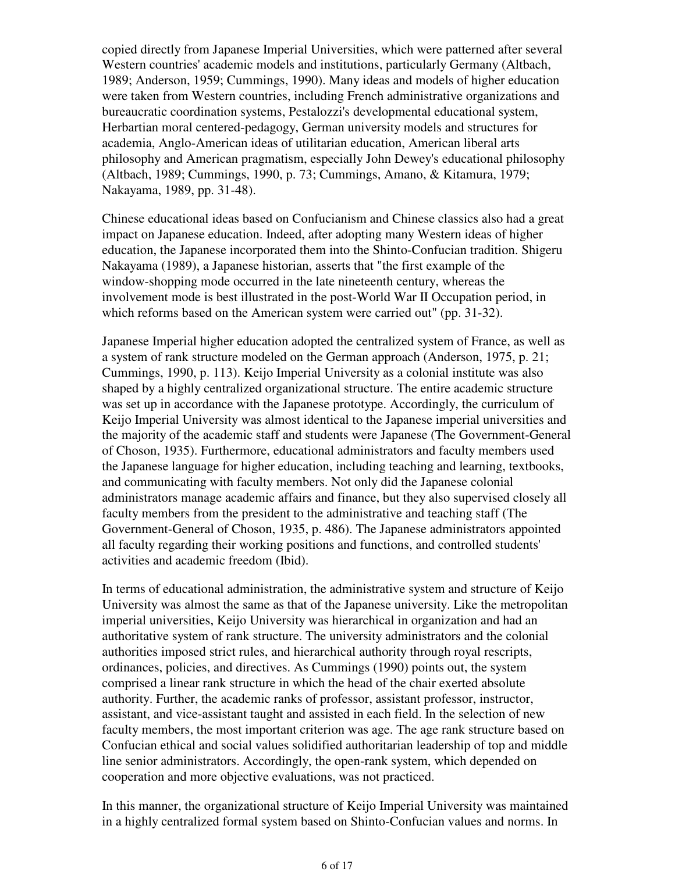copied directly from Japanese Imperial Universities, which were patterned after several Western countries' academic models and institutions, particularly Germany (Altbach, 1989; Anderson, 1959; Cummings, 1990). Many ideas and models of higher education were taken from Western countries, including French administrative organizations and bureaucratic coordination systems, Pestalozzi's developmental educational system, Herbartian moral centered-pedagogy, German university models and structures for academia, Anglo-American ideas of utilitarian education, American liberal arts philosophy and American pragmatism, especially John Dewey's educational philosophy (Altbach, 1989; Cummings, 1990, p. 73; Cummings, Amano, & Kitamura, 1979; Nakayama, 1989, pp. 31-48).

Chinese educational ideas based on Confucianism and Chinese classics also had a great impact on Japanese education. Indeed, after adopting many Western ideas of higher education, the Japanese incorporated them into the Shinto-Confucian tradition. Shigeru Nakayama (1989), a Japanese historian, asserts that "the first example of the window-shopping mode occurred in the late nineteenth century, whereas the involvement mode is best illustrated in the post-World War II Occupation period, in which reforms based on the American system were carried out" (pp. 31-32).

Japanese Imperial higher education adopted the centralized system of France, as well as a system of rank structure modeled on the German approach (Anderson, 1975, p. 21; Cummings, 1990, p. 113). Keijo Imperial University as a colonial institute was also shaped by a highly centralized organizational structure. The entire academic structure was set up in accordance with the Japanese prototype. Accordingly, the curriculum of Keijo Imperial University was almost identical to the Japanese imperial universities and the majority of the academic staff and students were Japanese (The Government-General of Choson, 1935). Furthermore, educational administrators and faculty members used the Japanese language for higher education, including teaching and learning, textbooks, and communicating with faculty members. Not only did the Japanese colonial administrators manage academic affairs and finance, but they also supervised closely all faculty members from the president to the administrative and teaching staff (The Government-General of Choson, 1935, p. 486). The Japanese administrators appointed all faculty regarding their working positions and functions, and controlled students' activities and academic freedom (Ibid).

In terms of educational administration, the administrative system and structure of Keijo University was almost the same as that of the Japanese university. Like the metropolitan imperial universities, Keijo University was hierarchical in organization and had an authoritative system of rank structure. The university administrators and the colonial authorities imposed strict rules, and hierarchical authority through royal rescripts, ordinances, policies, and directives. As Cummings (1990) points out, the system comprised a linear rank structure in which the head of the chair exerted absolute authority. Further, the academic ranks of professor, assistant professor, instructor, assistant, and vice-assistant taught and assisted in each field. In the selection of new faculty members, the most important criterion was age. The age rank structure based on Confucian ethical and social values solidified authoritarian leadership of top and middle line senior administrators. Accordingly, the open-rank system, which depended on cooperation and more objective evaluations, was not practiced.

In this manner, the organizational structure of Keijo Imperial University was maintained in a highly centralized formal system based on Shinto-Confucian values and norms. In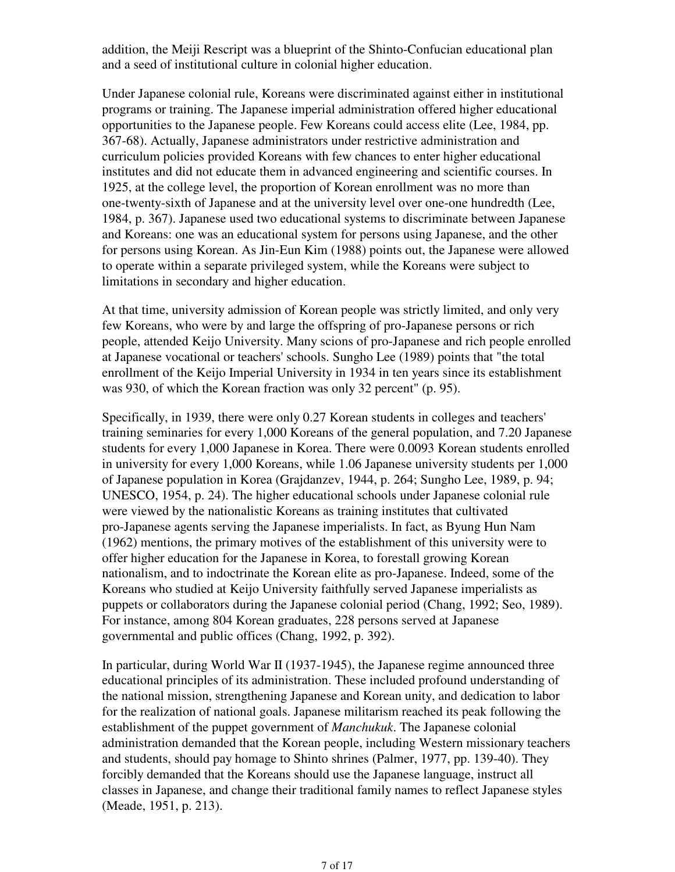addition, the Meiji Rescript was a blueprint of the Shinto-Confucian educational plan and a seed of institutional culture in colonial higher education.

Under Japanese colonial rule, Koreans were discriminated against either in institutional programs or training. The Japanese imperial administration offered higher educational opportunities to the Japanese people. Few Koreans could access elite (Lee, 1984, pp. 367-68). Actually, Japanese administrators under restrictive administration and curriculum policies provided Koreans with few chances to enter higher educational institutes and did not educate them in advanced engineering and scientific courses. In 1925, at the college level, the proportion of Korean enrollment was no more than one-twenty-sixth of Japanese and at the university level over one-one hundredth (Lee, 1984, p. 367). Japanese used two educational systems to discriminate between Japanese and Koreans: one was an educational system for persons using Japanese, and the other for persons using Korean. As Jin-Eun Kim (1988) points out, the Japanese were allowed to operate within a separate privileged system, while the Koreans were subject to limitations in secondary and higher education.

At that time, university admission of Korean people was strictly limited, and only very few Koreans, who were by and large the offspring of pro-Japanese persons or rich people, attended Keijo University. Many scions of pro-Japanese and rich people enrolled at Japanese vocational or teachers' schools. Sungho Lee (1989) points that "the total enrollment of the Keijo Imperial University in 1934 in ten years since its establishment was 930, of which the Korean fraction was only 32 percent" (p. 95).

Specifically, in 1939, there were only 0.27 Korean students in colleges and teachers' training seminaries for every 1,000 Koreans of the general population, and 7.20 Japanese students for every 1,000 Japanese in Korea. There were 0.0093 Korean students enrolled in university for every 1,000 Koreans, while 1.06 Japanese university students per 1,000 of Japanese population in Korea (Grajdanzev, 1944, p. 264; Sungho Lee, 1989, p. 94; UNESCO, 1954, p. 24). The higher educational schools under Japanese colonial rule were viewed by the nationalistic Koreans as training institutes that cultivated pro-Japanese agents serving the Japanese imperialists. In fact, as Byung Hun Nam (1962) mentions, the primary motives of the establishment of this university were to offer higher education for the Japanese in Korea, to forestall growing Korean nationalism, and to indoctrinate the Korean elite as pro-Japanese. Indeed, some of the Koreans who studied at Keijo University faithfully served Japanese imperialists as puppets or collaborators during the Japanese colonial period (Chang, 1992; Seo, 1989). For instance, among 804 Korean graduates, 228 persons served at Japanese governmental and public offices (Chang, 1992, p. 392).

In particular, during World War II (1937-1945), the Japanese regime announced three educational principles of its administration. These included profound understanding of the national mission, strengthening Japanese and Korean unity, and dedication to labor for the realization of national goals. Japanese militarism reached its peak following the establishment of the puppet government of *Manchukuk*. The Japanese colonial administration demanded that the Korean people, including Western missionary teachers and students, should pay homage to Shinto shrines (Palmer, 1977, pp. 139-40). They forcibly demanded that the Koreans should use the Japanese language, instruct all classes in Japanese, and change their traditional family names to reflect Japanese styles (Meade, 1951, p. 213).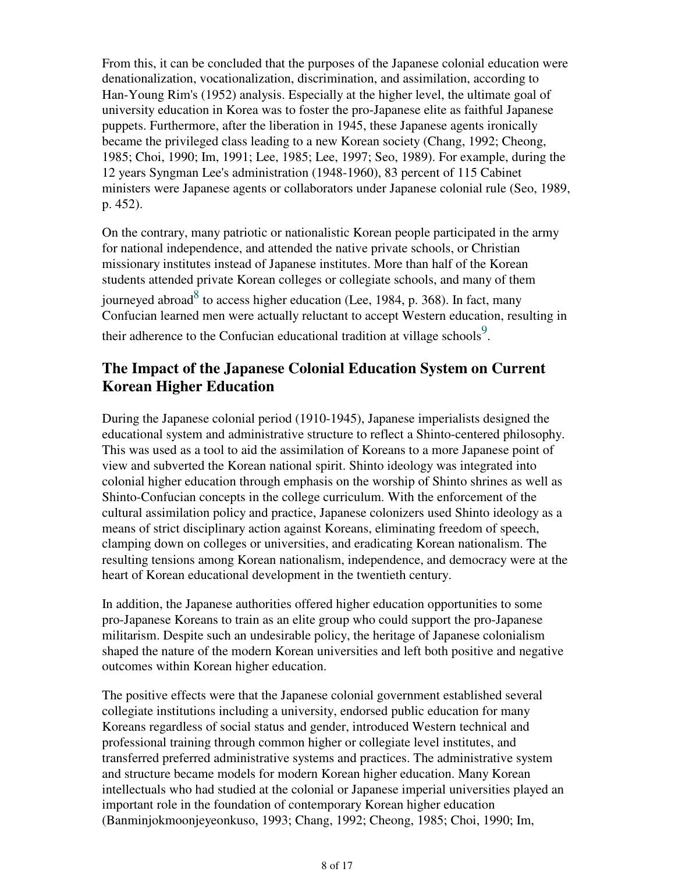From this, it can be concluded that the purposes of the Japanese colonial education were denationalization, vocationalization, discrimination, and assimilation, according to Han-Young Rim's (1952) analysis. Especially at the higher level, the ultimate goal of university education in Korea was to foster the pro-Japanese elite as faithful Japanese puppets. Furthermore, after the liberation in 1945, these Japanese agents ironically became the privileged class leading to a new Korean society (Chang, 1992; Cheong, 1985; Choi, 1990; Im, 1991; Lee, 1985; Lee, 1997; Seo, 1989). For example, during the 12 years Syngman Lee's administration (1948-1960), 83 percent of 115 Cabinet ministers were Japanese agents or collaborators under Japanese colonial rule (Seo, 1989, p. 452).

On the contrary, many patriotic or nationalistic Korean people participated in the army for national independence, and attended the native private schools, or Christian missionary institutes instead of Japanese institutes. More than half of the Korean students attended private Korean colleges or collegiate schools, and many of them journeyed abroad $8$  to access higher education (Lee, 1984, p. 368). In fact, many Confucian learned men were actually reluctant to accept Western education, resulting in their adherence to the Confucian educational tradition at village schools<sup>9</sup>.

# **The Impact of the Japanese Colonial Education System on Current Korean Higher Education**

During the Japanese colonial period (1910-1945), Japanese imperialists designed the educational system and administrative structure to reflect a Shinto-centered philosophy. This was used as a tool to aid the assimilation of Koreans to a more Japanese point of view and subverted the Korean national spirit. Shinto ideology was integrated into colonial higher education through emphasis on the worship of Shinto shrines as well as Shinto-Confucian concepts in the college curriculum. With the enforcement of the cultural assimilation policy and practice, Japanese colonizers used Shinto ideology as a means of strict disciplinary action against Koreans, eliminating freedom of speech, clamping down on colleges or universities, and eradicating Korean nationalism. The resulting tensions among Korean nationalism, independence, and democracy were at the heart of Korean educational development in the twentieth century.

In addition, the Japanese authorities offered higher education opportunities to some pro-Japanese Koreans to train as an elite group who could support the pro-Japanese militarism. Despite such an undesirable policy, the heritage of Japanese colonialism shaped the nature of the modern Korean universities and left both positive and negative outcomes within Korean higher education.

The positive effects were that the Japanese colonial government established several collegiate institutions including a university, endorsed public education for many Koreans regardless of social status and gender, introduced Western technical and professional training through common higher or collegiate level institutes, and transferred preferred administrative systems and practices. The administrative system and structure became models for modern Korean higher education. Many Korean intellectuals who had studied at the colonial or Japanese imperial universities played an important role in the foundation of contemporary Korean higher education (Banminjokmoonjeyeonkuso, 1993; Chang, 1992; Cheong, 1985; Choi, 1990; Im,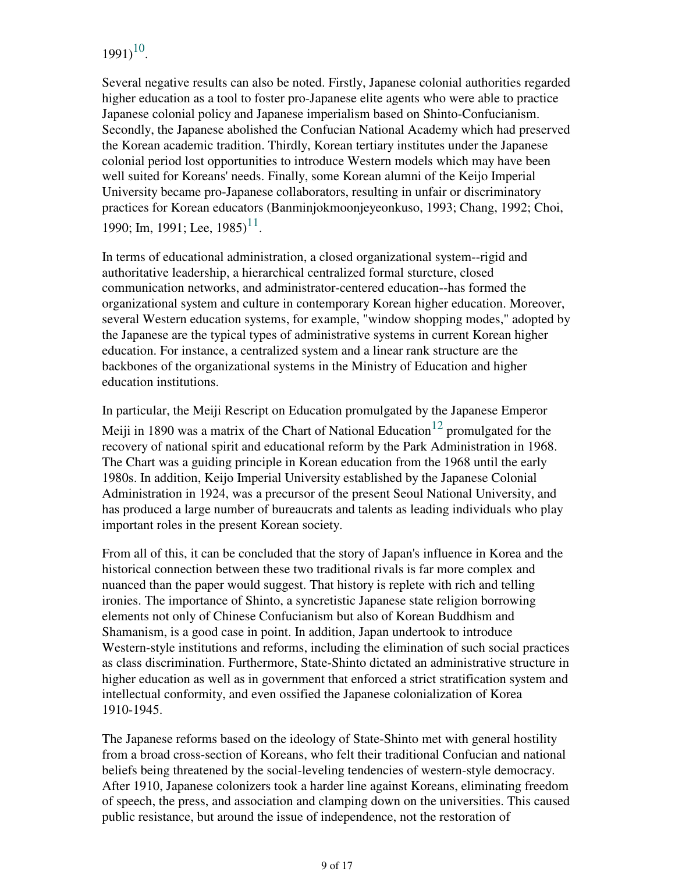# $1991)^{10}$ .

Several negative results can also be noted. Firstly, Japanese colonial authorities regarded higher education as a tool to foster pro-Japanese elite agents who were able to practice Japanese colonial policy and Japanese imperialism based on Shinto-Confucianism. Secondly, the Japanese abolished the Confucian National Academy which had preserved the Korean academic tradition. Thirdly, Korean tertiary institutes under the Japanese colonial period lost opportunities to introduce Western models which may have been well suited for Koreans' needs. Finally, some Korean alumni of the Keijo Imperial University became pro-Japanese collaborators, resulting in unfair or discriminatory practices for Korean educators (Banminjokmoonjeyeonkuso, 1993; Chang, 1992; Choi, 1990; Im, 1991; Lee,  $1985$ <sup>11</sup>.

In terms of educational administration, a closed organizational system--rigid and authoritative leadership, a hierarchical centralized formal sturcture, closed communication networks, and administrator-centered education--has formed the organizational system and culture in contemporary Korean higher education. Moreover, several Western education systems, for example, "window shopping modes," adopted by the Japanese are the typical types of administrative systems in current Korean higher education. For instance, a centralized system and a linear rank structure are the backbones of the organizational systems in the Ministry of Education and higher education institutions.

In particular, the Meiji Rescript on Education promulgated by the Japanese Emperor Meiji in 1890 was a matrix of the Chart of National Education<sup>12</sup> promulgated for the recovery of national spirit and educational reform by the Park Administration in 1968. The Chart was a guiding principle in Korean education from the 1968 until the early 1980s. In addition, Keijo Imperial University established by the Japanese Colonial Administration in 1924, was a precursor of the present Seoul National University, and has produced a large number of bureaucrats and talents as leading individuals who play important roles in the present Korean society.

From all of this, it can be concluded that the story of Japan's influence in Korea and the historical connection between these two traditional rivals is far more complex and nuanced than the paper would suggest. That history is replete with rich and telling ironies. The importance of Shinto, a syncretistic Japanese state religion borrowing elements not only of Chinese Confucianism but also of Korean Buddhism and Shamanism, is a good case in point. In addition, Japan undertook to introduce Western-style institutions and reforms, including the elimination of such social practices as class discrimination. Furthermore, State-Shinto dictated an administrative structure in higher education as well as in government that enforced a strict stratification system and intellectual conformity, and even ossified the Japanese colonialization of Korea 1910-1945.

The Japanese reforms based on the ideology of State-Shinto met with general hostility from a broad cross-section of Koreans, who felt their traditional Confucian and national beliefs being threatened by the social-leveling tendencies of western-style democracy. After 1910, Japanese colonizers took a harder line against Koreans, eliminating freedom of speech, the press, and association and clamping down on the universities. This caused public resistance, but around the issue of independence, not the restoration of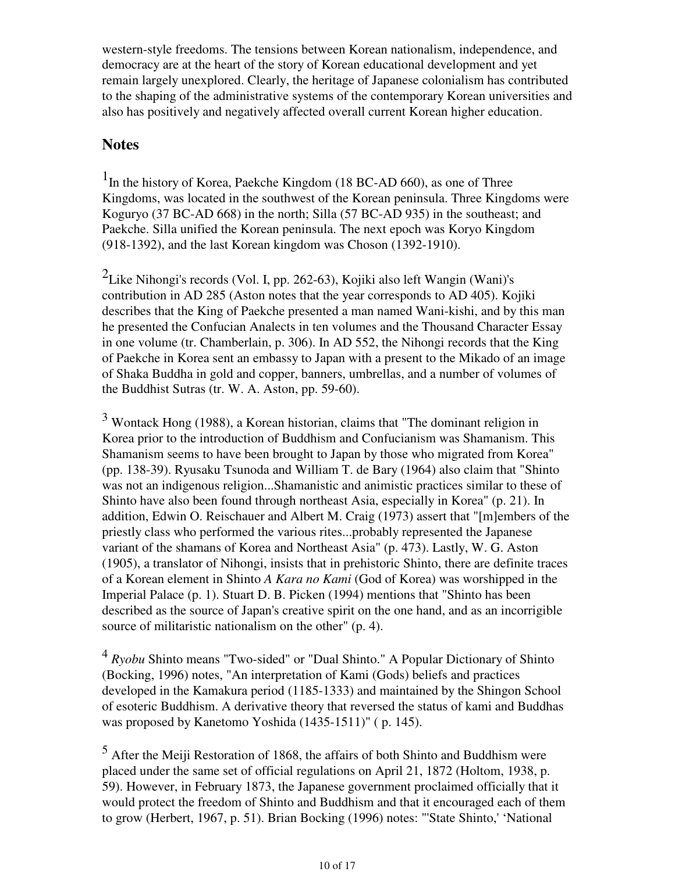western-style freedoms. The tensions between Korean nationalism, independence, and democracy are at the heart of the story of Korean educational development and yet remain largely unexplored. Clearly, the heritage of Japanese colonialism has contributed to the shaping of the administrative systems of the contemporary Korean universities and also has positively and negatively affected overall current Korean higher education.

## **Notes**

<sup>1</sup>In the history of Korea, Paekche Kingdom (18 BC-AD 660), as one of Three Kingdoms, was located in the southwest of the Korean peninsula. Three Kingdoms were Koguryo (37 BC-AD 668) in the north; Silla (57 BC-AD 935) in the southeast; and Paekche. Silla unified the Korean peninsula. The next epoch was Koryo Kingdom (918-1392), and the last Korean kingdom was Choson (1392-1910).

<sup>2</sup>Like Nihongi's records (Vol. I, pp. 262-63), Kojiki also left Wangin (Wani)'s contribution in AD 285 (Aston notes that the year corresponds to AD 405). Kojiki describes that the King of Paekche presented a man named Wani-kishi, and by this man he presented the Confucian Analects in ten volumes and the Thousand Character Essay in one volume (tr. Chamberlain, p. 306). In AD 552, the Nihongi records that the King of Paekche in Korea sent an embassy to Japan with a present to the Mikado of an image of Shaka Buddha in gold and copper, banners, umbrellas, and a number of volumes of the Buddhist Sutras (tr. W. A. Aston, pp. 59-60).

 $3$  Wontack Hong (1988), a Korean historian, claims that "The dominant religion in Korea prior to the introduction of Buddhism and Confucianism was Shamanism. This Shamanism seems to have been brought to Japan by those who migrated from Korea" (pp. 138-39). Ryusaku Tsunoda and William T. de Bary (1964) also claim that "Shinto was not an indigenous religion...Shamanistic and animistic practices similar to these of Shinto have also been found through northeast Asia, especially in Korea" (p. 21). In addition, Edwin O. Reischauer and Albert M. Craig (1973) assert that "[m]embers of the priestly class who performed the various rites...probably represented the Japanese variant of the shamans of Korea and Northeast Asia" (p. 473). Lastly, W. G. Aston (1905), a translator of Nihongi, insists that in prehistoric Shinto, there are definite traces of a Korean element in Shinto *A Kara no Kami* (God of Korea) was worshipped in the Imperial Palace (p. 1). Stuart D. B. Picken (1994) mentions that "Shinto has been described as the source of Japan's creative spirit on the one hand, and as an incorrigible source of militaristic nationalism on the other" (p. 4).

<sup>4</sup> *Ryobu* Shinto means "Two-sided" or "Dual Shinto." A Popular Dictionary of Shinto (Bocking, 1996) notes, "An interpretation of Kami (Gods) beliefs and practices developed in the Kamakura period (1185-1333) and maintained by the Shingon School of esoteric Buddhism. A derivative theory that reversed the status of kami and Buddhas was proposed by Kanetomo Yoshida (1435-1511)" ( p. 145).

<sup>5</sup> After the Meiji Restoration of 1868, the affairs of both Shinto and Buddhism were placed under the same set of official regulations on April 21, 1872 (Holtom, 1938, p. 59). However, in February 1873, the Japanese government proclaimed officially that it would protect the freedom of Shinto and Buddhism and that it encouraged each of them to grow (Herbert, 1967, p. 51). Brian Bocking (1996) notes: "'State Shinto,' 'National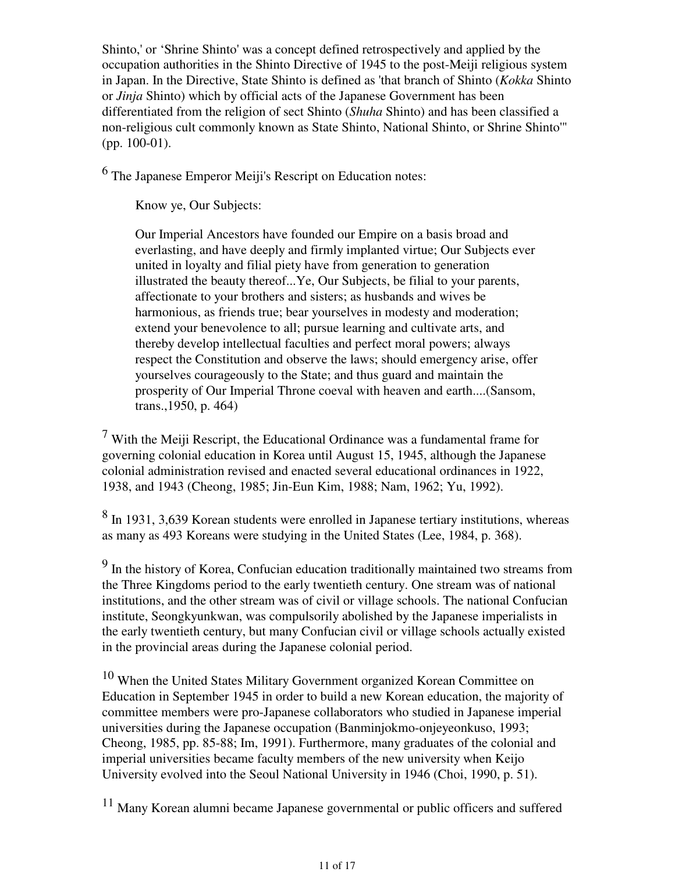Shinto,' or 'Shrine Shinto' was a concept defined retrospectively and applied by the occupation authorities in the Shinto Directive of 1945 to the post-Meiji religious system in Japan. In the Directive, State Shinto is defined as 'that branch of Shinto (*Kokka* Shinto or *Jinja* Shinto) which by official acts of the Japanese Government has been differentiated from the religion of sect Shinto (*Shuha* Shinto) and has been classified a non-religious cult commonly known as State Shinto, National Shinto, or Shrine Shinto'" (pp. 100-01).

<sup>6</sup> The Japanese Emperor Meiji's Rescript on Education notes:

Know ye, Our Subjects:

Our Imperial Ancestors have founded our Empire on a basis broad and everlasting, and have deeply and firmly implanted virtue; Our Subjects ever united in loyalty and filial piety have from generation to generation illustrated the beauty thereof...Ye, Our Subjects, be filial to your parents, affectionate to your brothers and sisters; as husbands and wives be harmonious, as friends true; bear yourselves in modesty and moderation; extend your benevolence to all; pursue learning and cultivate arts, and thereby develop intellectual faculties and perfect moral powers; always respect the Constitution and observe the laws; should emergency arise, offer yourselves courageously to the State; and thus guard and maintain the prosperity of Our Imperial Throne coeval with heaven and earth....(Sansom, trans.,1950, p. 464)

 $<sup>7</sup>$  With the Meiji Rescript, the Educational Ordinance was a fundamental frame for</sup> governing colonial education in Korea until August 15, 1945, although the Japanese colonial administration revised and enacted several educational ordinances in 1922, 1938, and 1943 (Cheong, 1985; Jin-Eun Kim, 1988; Nam, 1962; Yu, 1992).

<sup>8</sup> In 1931, 3,639 Korean students were enrolled in Japanese tertiary institutions, whereas as many as 493 Koreans were studying in the United States (Lee, 1984, p. 368).

<sup>9</sup> In the history of Korea, Confucian education traditionally maintained two streams from the Three Kingdoms period to the early twentieth century. One stream was of national institutions, and the other stream was of civil or village schools. The national Confucian institute, Seongkyunkwan, was compulsorily abolished by the Japanese imperialists in the early twentieth century, but many Confucian civil or village schools actually existed in the provincial areas during the Japanese colonial period.

<sup>10</sup> When the United States Military Government organized Korean Committee on Education in September 1945 in order to build a new Korean education, the majority of committee members were pro-Japanese collaborators who studied in Japanese imperial universities during the Japanese occupation (Banminjokmo-onjeyeonkuso, 1993; Cheong, 1985, pp. 85-88; Im, 1991). Furthermore, many graduates of the colonial and imperial universities became faculty members of the new university when Keijo University evolved into the Seoul National University in 1946 (Choi, 1990, p. 51).

<sup>11</sup> Many Korean alumni became Japanese governmental or public officers and suffered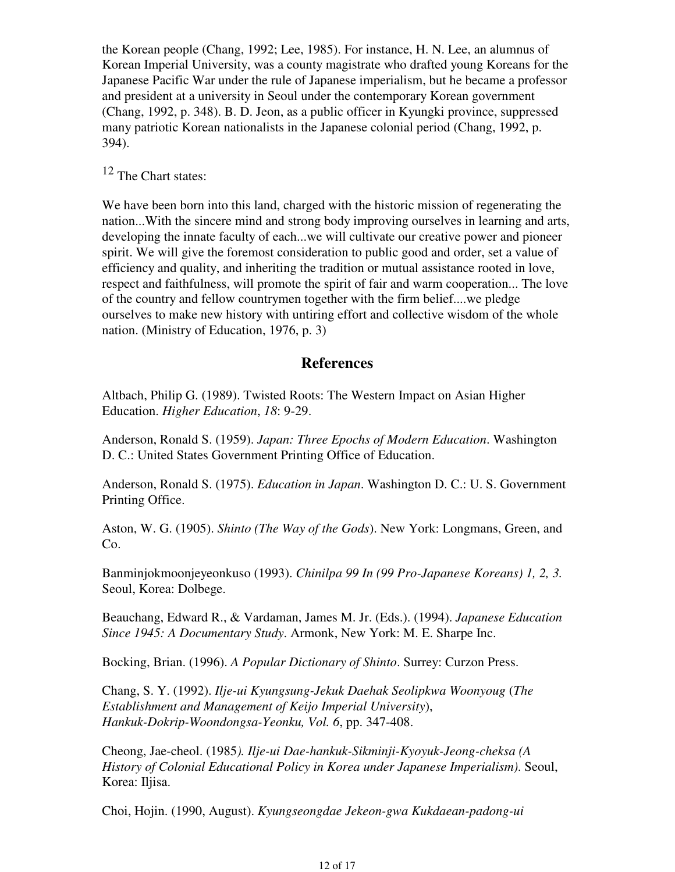the Korean people (Chang, 1992; Lee, 1985). For instance, H. N. Lee, an alumnus of Korean Imperial University, was a county magistrate who drafted young Koreans for the Japanese Pacific War under the rule of Japanese imperialism, but he became a professor and president at a university in Seoul under the contemporary Korean government (Chang, 1992, p. 348). B. D. Jeon, as a public officer in Kyungki province, suppressed many patriotic Korean nationalists in the Japanese colonial period (Chang, 1992, p. 394).

<sup>12</sup> The Chart states:

We have been born into this land, charged with the historic mission of regenerating the nation...With the sincere mind and strong body improving ourselves in learning and arts, developing the innate faculty of each...we will cultivate our creative power and pioneer spirit. We will give the foremost consideration to public good and order, set a value of efficiency and quality, and inheriting the tradition or mutual assistance rooted in love, respect and faithfulness, will promote the spirit of fair and warm cooperation... The love of the country and fellow countrymen together with the firm belief....we pledge ourselves to make new history with untiring effort and collective wisdom of the whole nation. (Ministry of Education, 1976, p. 3)

## **References**

Altbach, Philip G. (1989). Twisted Roots: The Western Impact on Asian Higher Education. *Higher Education*, *18*: 9-29.

Anderson, Ronald S. (1959). *Japan: Three Epochs of Modern Education*. Washington D. C.: United States Government Printing Office of Education.

Anderson, Ronald S. (1975). *Education in Japan*. Washington D. C.: U. S. Government Printing Office.

Aston, W. G. (1905). *Shinto (The Way of the Gods*). New York: Longmans, Green, and Co.

Banminjokmoonjeyeonkuso (1993). *Chinilpa 99 In (99 Pro-Japanese Koreans) 1, 2, 3.* Seoul, Korea: Dolbege.

Beauchang, Edward R., & Vardaman, James M. Jr. (Eds.). (1994). *Japanese Education Since 1945: A Documentary Study*. Armonk, New York: M. E. Sharpe Inc.

Bocking, Brian. (1996). *A Popular Dictionary of Shinto*. Surrey: Curzon Press.

Chang, S. Y. (1992). *Ilje-ui Kyungsung-Jekuk Daehak Seolipkwa Woonyoug* (*The Establishment and Management of Keijo Imperial University*), *Hankuk-Dokrip-Woondongsa-Yeonku, Vol. 6*, pp. 347-408.

Cheong, Jae-cheol. (1985*). Ilje-ui Dae-hankuk-Sikminji-Kyoyuk-Jeong-cheksa (A History of Colonial Educational Policy in Korea under Japanese Imperialism)*. Seoul, Korea: Iljisa.

Choi, Hojin. (1990, August). *Kyungseongdae Jekeon-gwa Kukdaean-padong-ui*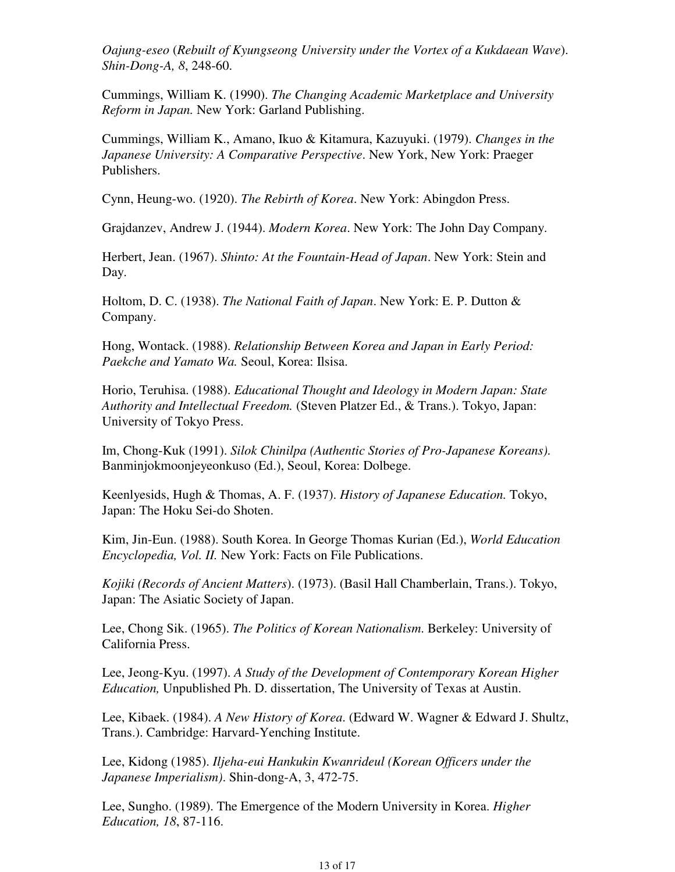*Oajung-eseo* (*Rebuilt of Kyungseong University under the Vortex of a Kukdaean Wave*). *Shin-Dong-A, 8*, 248-60.

Cummings, William K. (1990). *The Changing Academic Marketplace and University Reform in Japan.* New York: Garland Publishing.

Cummings, William K., Amano, Ikuo & Kitamura, Kazuyuki. (1979). *Changes in the Japanese University: A Comparative Perspective*. New York, New York: Praeger Publishers.

Cynn, Heung-wo. (1920). *The Rebirth of Korea*. New York: Abingdon Press.

Grajdanzev, Andrew J. (1944). *Modern Korea*. New York: The John Day Company.

Herbert, Jean. (1967). *Shinto: At the Fountain-Head of Japan*. New York: Stein and Day.

Holtom, D. C. (1938). *The National Faith of Japan*. New York: E. P. Dutton & Company.

Hong, Wontack. (1988). *Relationship Between Korea and Japan in Early Period: Paekche and Yamato Wa.* Seoul, Korea: Ilsisa.

Horio, Teruhisa. (1988). *Educational Thought and Ideology in Modern Japan: State Authority and Intellectual Freedom.* (Steven Platzer Ed., & Trans.). Tokyo, Japan: University of Tokyo Press.

Im, Chong-Kuk (1991). *Silok Chinilpa (Authentic Stories of Pro-Japanese Koreans)*. Banminjokmoonjeyeonkuso (Ed.), Seoul, Korea: Dolbege.

Keenlyesids, Hugh & Thomas, A. F. (1937). *History of Japanese Education.* Tokyo, Japan: The Hoku Sei-do Shoten.

Kim, Jin-Eun. (1988). South Korea. In George Thomas Kurian (Ed.), *World Education Encyclopedia, Vol. II.* New York: Facts on File Publications.

*Kojiki (Records of Ancient Matters*). (1973). (Basil Hall Chamberlain, Trans.). Tokyo, Japan: The Asiatic Society of Japan.

Lee, Chong Sik. (1965). *The Politics of Korean Nationalism*. Berkeley: University of California Press.

Lee, Jeong-Kyu. (1997). *A Study of the Development of Contemporary Korean Higher Education,* Unpublished Ph. D. dissertation, The University of Texas at Austin.

Lee, Kibaek. (1984). *A New History of Korea*. (Edward W. Wagner & Edward J. Shultz, Trans.). Cambridge: Harvard-Yenching Institute.

Lee, Kidong (1985). *Iljeha-eui Hankukin Kwanrideul (Korean Officers under the Japanese Imperialism)*. Shin-dong-A, 3, 472-75.

Lee, Sungho. (1989). The Emergence of the Modern University in Korea. *Higher Education, 18*, 87-116.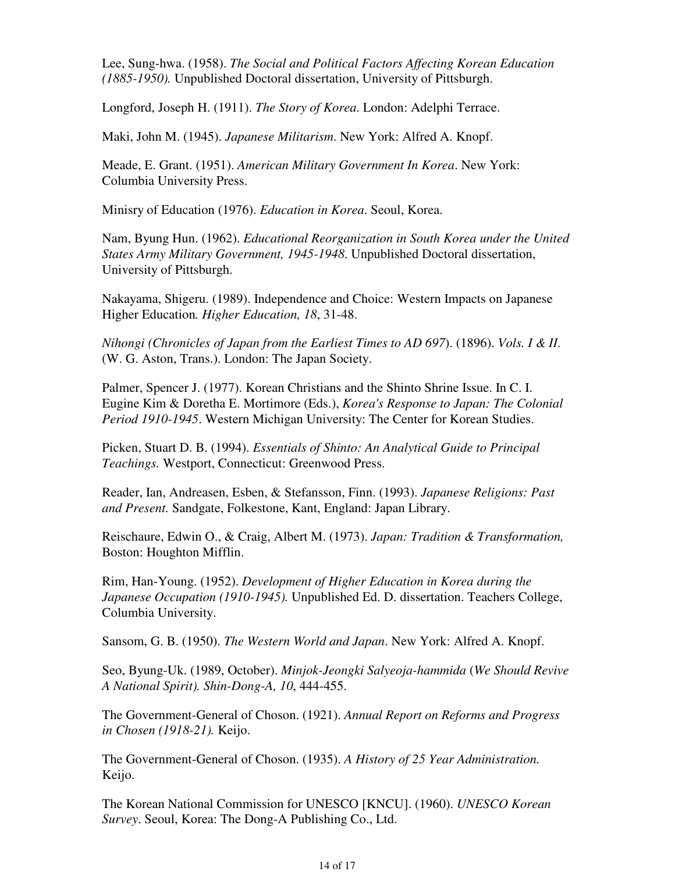Lee, Sung-hwa. (1958). *The Social and Political Factors Affecting Korean Education (1885-1950).* Unpublished Doctoral dissertation, University of Pittsburgh.

Longford, Joseph H. (1911). *The Story of Korea*. London: Adelphi Terrace.

Maki, John M. (1945). *Japanese Militarism*. New York: Alfred A. Knopf.

Meade, E. Grant. (1951). *American Military Government In Korea*. New York: Columbia University Press.

Minisry of Education (1976). *Education in Korea*. Seoul, Korea.

Nam, Byung Hun. (1962). *Educational Reorganization in South Korea under the United States Army Military Government, 1945-1948*. Unpublished Doctoral dissertation, University of Pittsburgh.

Nakayama, Shigeru. (1989). Independence and Choice: Western Impacts on Japanese Higher Education*. Higher Education, 18*, 31-48.

*Nihongi (Chronicles of Japan from the Earliest Times to AD 697*). (1896). *Vols. I & II*. (W. G. Aston, Trans.). London: The Japan Society.

Palmer, Spencer J. (1977). Korean Christians and the Shinto Shrine Issue. In C. I. Eugine Kim & Doretha E. Mortimore (Eds.), *Korea's Response to Japan: The Colonial Period 1910-1945*. Western Michigan University: The Center for Korean Studies.

Picken, Stuart D. B. (1994). *Essentials of Shinto: An Analytical Guide to Principal Teachings.* Westport, Connecticut: Greenwood Press.

Reader, Ian, Andreasen, Esben, & Stefansson, Finn. (1993). *Japanese Religions: Past and Present.* Sandgate, Folkestone, Kant, England: Japan Library.

Reischaure, Edwin O., & Craig, Albert M. (1973). *Japan: Tradition & Transformation,* Boston: Houghton Mifflin.

Rim, Han-Young. (1952). *Development of Higher Education in Korea during the Japanese Occupation (1910-1945).* Unpublished Ed. D. dissertation. Teachers College, Columbia University.

Sansom, G. B. (1950). *The Western World and Japan*. New York: Alfred A. Knopf.

Seo, Byung-Uk. (1989, October). *Minjok-Jeongki Salyeoja-hammida* (*We Should Revive A National Spirit). Shin-Dong-A, 10*, 444-455.

The Government-General of Choson. (1921). *Annual Report on Reforms and Progress in Chosen (1918-21).* Keijo.

The Government-General of Choson. (1935). *A History of 25 Year Administration.* Keijo.

The Korean National Commission for UNESCO [KNCU]. (1960). *UNESCO Korean Survey*. Seoul, Korea: The Dong-A Publishing Co., Ltd.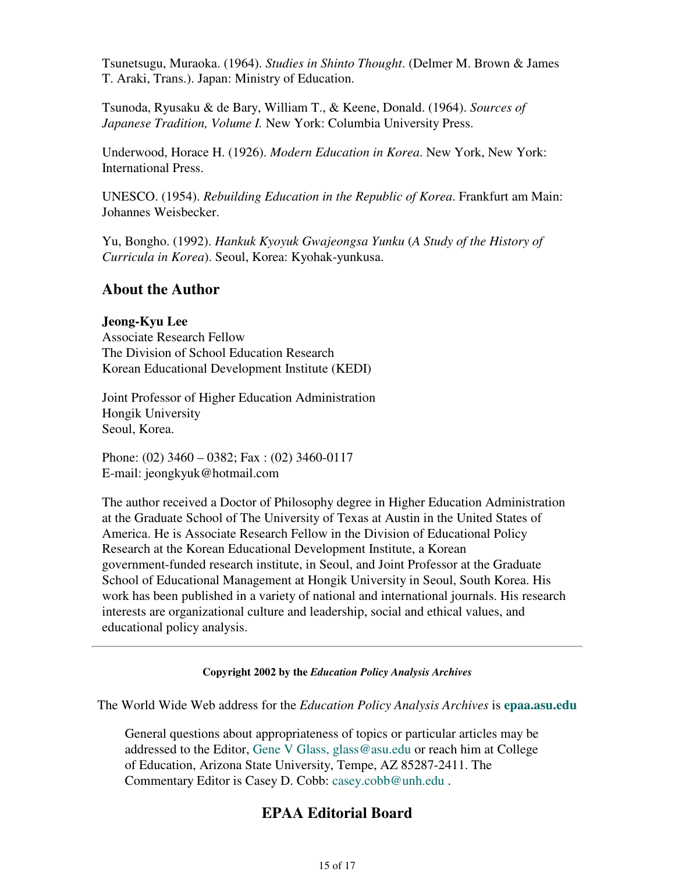Tsunetsugu, Muraoka. (1964). *Studies in Shinto Thought*. (Delmer M. Brown & James T. Araki, Trans.). Japan: Ministry of Education.

Tsunoda, Ryusaku & de Bary, William T., & Keene, Donald. (1964). *Sources of Japanese Tradition, Volume I.* New York: Columbia University Press.

Underwood, Horace H. (1926). *Modern Education in Korea*. New York, New York: International Press.

UNESCO. (1954). *Rebuilding Education in the Republic of Korea*. Frankfurt am Main: Johannes Weisbecker.

Yu, Bongho. (1992). *Hankuk Kyoyuk Gwajeongsa Yunku* (*A Study of the History of Curricula in Korea*). Seoul, Korea: Kyohak-yunkusa.

## **About the Author**

## **Jeong-Kyu Lee**

Associate Research Fellow The Division of School Education Research Korean Educational Development Institute (KEDI)

Joint Professor of Higher Education Administration Hongik University Seoul, Korea.

Phone: (02) 3460 – 0382; Fax : (02) 3460-0117 E-mail: jeongkyuk@hotmail.com

The author received a Doctor of Philosophy degree in Higher Education Administration at the Graduate School of The University of Texas at Austin in the United States of America. He is Associate Research Fellow in the Division of Educational Policy Research at the Korean Educational Development Institute, a Korean government-funded research institute, in Seoul, and Joint Professor at the Graduate School of Educational Management at Hongik University in Seoul, South Korea. His work has been published in a variety of national and international journals. His research interests are organizational culture and leadership, social and ethical values, and educational policy analysis.

## **Copyright 2002 by the** *Education Policy Analysis Archives*

The World Wide Web address for the *Education Policy Analysis Archives* is **epaa.asu.edu**

General questions about appropriateness of topics or particular articles may be addressed to the Editor, Gene V Glass, glass@asu.edu or reach him at College of Education, Arizona State University, Tempe, AZ 85287-2411. The Commentary Editor is Casey D. Cobb: casey.cobb@unh.edu .

# **EPAA Editorial Board**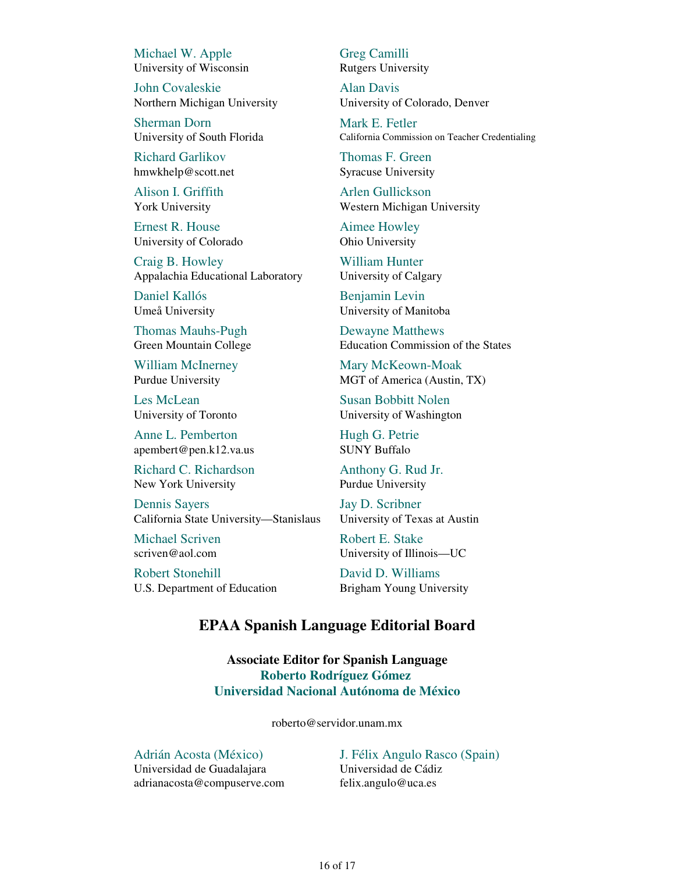Michael W. Apple University of Wisconsin

John Covaleskie Northern Michigan University

Sherman Dorn University of South Florida

Richard Garlikov hmwkhelp@scott.net

Alison I. Griffith York University

Ernest R. House University of Colorado

Craig B. Howley Appalachia Educational Laboratory

Daniel Kallós Umeå University

Thomas Mauhs-Pugh Green Mountain College

William McInerney Purdue University

Les McLean University of Toronto

Anne L. Pemberton apembert@pen.k12.va.us

Richard C. Richardson New York University

Dennis Sayers California State University—Stanislaus

Michael Scriven scriven@aol.com

Robert Stonehill U.S. Department of Education Greg Camilli Rutgers University

Alan Davis University of Colorado, Denver

Mark E. Fetler California Commission on Teacher Credentialing

Thomas F. Green Syracuse University

Arlen Gullickson Western Michigan University

Aimee Howley Ohio University

William Hunter University of Calgary

Benjamin Levin University of Manitoba

Dewayne Matthews Education Commission of the States

Mary McKeown-Moak MGT of America (Austin, TX)

Susan Bobbitt Nolen University of Washington

Hugh G. Petrie SUNY Buffalo

Anthony G. Rud Jr. Purdue University

Jay D. Scribner University of Texas at Austin

Robert E. Stake University of Illinois—UC

David D. Williams Brigham Young University

## **EPAA Spanish Language Editorial Board**

**Associate Editor for Spanish Language Roberto Rodríguez Gómez Universidad Nacional Autónoma de México**

roberto@servidor.unam.mx

Adrián Acosta (México) Universidad de Guadalajara adrianacosta@compuserve.com

J. Félix Angulo Rasco (Spain) Universidad de Cádiz felix.angulo@uca.es